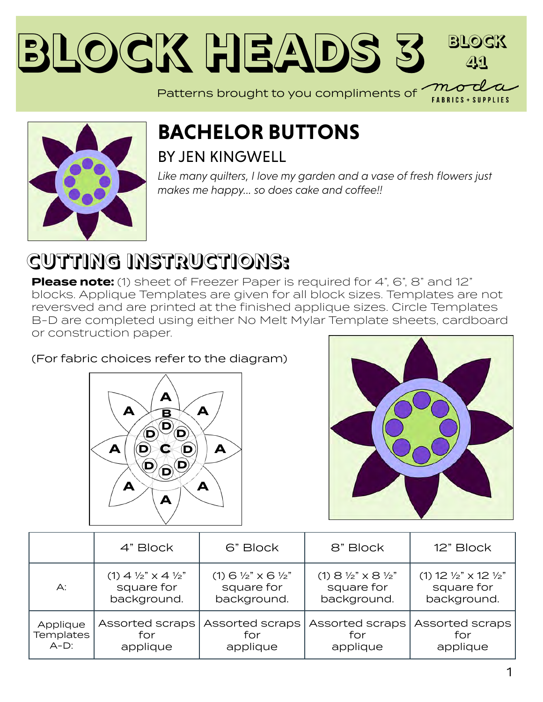#### **Block Heads [3](https://modafabrics.com) Block 41** Patterns brought to you compliments of  $\overline{\text{max}}$



#### **BACHELOR BUTTONS** BY JEN KINGWELL

*Like many quilters, I love my garden and a vase of fresh flowers just makes me happy... so does cake and coffee!!*

### **CUTTING INSTRUCTIONS:**

**Please note:** (1) sheet of Freezer Paper is required for 4", 6", 8" and 12" blocks. Applique Templates are given for all block sizes. Templates are not reversved and are printed at the finished applique sizes. Circle Templates B-D are completed using either No Melt Mylar Template sheets, cardboard or construction paper.

(For fabric choices refer to the diagram)





**FABRICS + SUPPLIES** 

|           | 4" Block                                   | 6" Block                                       | 8" Block                                    | 12" Block                             |
|-----------|--------------------------------------------|------------------------------------------------|---------------------------------------------|---------------------------------------|
| А:        | (1) $4\frac{1}{2}$ $\times$ $4\frac{1}{2}$ | $(1)$ 6 $\frac{1}{2}$ $\times$ 6 $\frac{1}{2}$ | $(1)$ 8 $\frac{1}{2}$ " x 8 $\frac{1}{2}$ " | (1) $12\frac{1}{2}$ x $12\frac{1}{2}$ |
|           | square for                                 | square for                                     | square for                                  | square for                            |
|           | background.                                | background.                                    | background.                                 | background.                           |
| Applique  | Assorted scraps                            | Assorted scraps                                | Assorted scraps                             | Assorted scraps                       |
| Templates | for                                        | for                                            | for                                         | for                                   |
| $A-D$ :   | applique                                   | applique                                       | applique                                    | applique                              |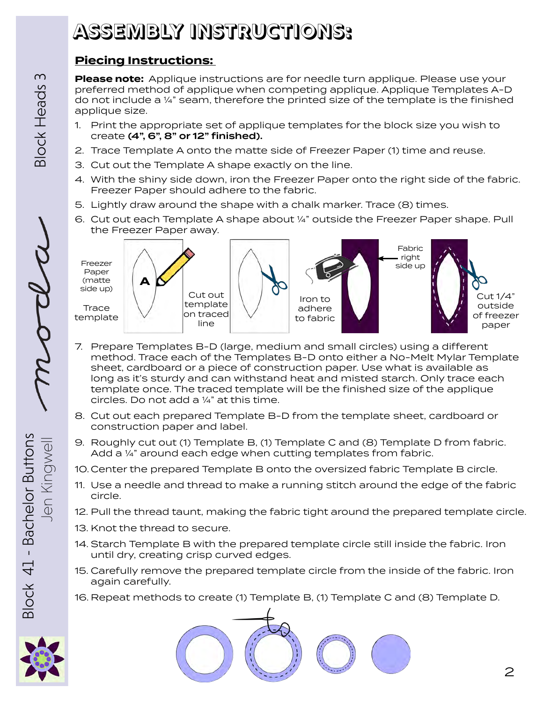### **ASSEMBLY INSTRUCTIONS:**

#### **Piecing Instructions:**

**Please note:** Applique instructions are for needle turn applique. Please use your preferred method of applique when competing applique. Applique Templates A-D do not include a ¼" seam, therefore the printed size of the template is the finished applique size.

- 1. Print the appropriate set of applique templates for the block size you wish to create (4", 6", 8" or 12" finished).
- 2. Trace Template A onto the matte side of Freezer Paper (1) time and reuse.
- 3. Cut out the Template A shape exactly on the line.
- 4. With the shiny side down, iron the Freezer Paper onto the right side of the fabric. Freezer Paper should adhere to the fabric.
- 5. Lightly draw around the shape with a chalk marker. Trace (8) times.
- 6. Cut out each Template A shape about ¼" outside the Freezer Paper shape. Pull the Freezer Paper away.



- 7. Prepare Templates B-D (large, medium and small circles) using a different method. Trace each of the Templates B-D onto either a No-Melt Mylar Template sheet, cardboard or a piece of construction paper. Use what is available as long as it's sturdy and can withstand heat and misted starch. Only trace each template once. The traced template will be the finished size of the applique circles. Do not add a ¼" at this time.
- 8. Cut out each prepared Template B-D from the template sheet, cardboard or construction paper and label.
- 9. Roughly cut out (1) Template B, (1) Template C and (8) Template D from fabric. Add a 1/4" around each edge when cutting templates from fabric.
- 10. Center the prepared Template B onto the oversized fabric Template B circle.
- 11. Use a needle and thread to make a running stitch around the edge of the fabric circle.
- 12. Pull the thread taunt, making the fabric tight around the prepared template circle.
- 13. Knot the thread to secure.
- 14. Starch Template B with the prepared template circle still inside the fabric. Iron until dry, creating crisp curved edges.
- 15. Carefully remove the prepared template circle from the inside of the fabric. Iron again carefully.
- 16. Repeat methods to create (1) Template B, (1) Template C and (8) Template D.



Block 41 - Bachelor

Block 41 - Bachelor Buttons

en Kingwell



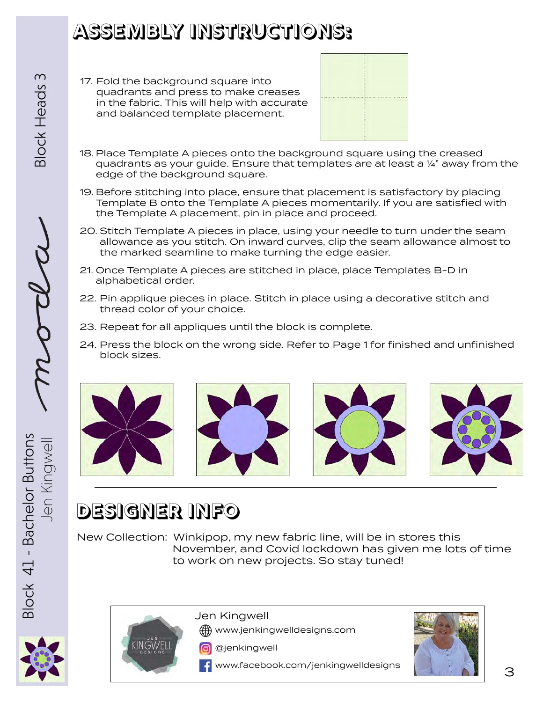### **ASSEMBLY INSTRUCTIONS:**

17. Fold the background square into quadrants and press to make creases in the fabric. This will help with accurate and balanced template placement.



- 18. Place Template A pieces onto the background square using the creased quadrants as your quide. Ensure that templates are at least a  $\frac{1}{4}$ " away from the edge of the background square.
- 19. Before stitching into place, ensure that placement is satisfactory by placing Template B onto the Template A pieces momentarily. If you are satisfied with the Template A placement, pin in place and proceed.
- 20. Stitch Template A pieces in place, using your needle to turn under the seam allowance as you stitch. On inward curves, clip the seam allowance almost to the marked seamline to make turning the edge easier.
- 21. Once Template A pieces are stitched in place, place Templates B-D in alphabetical order.
- 22. Pin applique pieces in place. Stitch in place using a decorative stitch and thread color of your choice.
- 23. Repeat for all appliques until the block is complete.
- 24. Press the block on the wrong side. Refer to Page 1 for finished and unfinished block sizes.









### **DESIGNER INFO**

New Collection: Winkipop, my new fabric line, will be in stores this November, and Covid lockdown has given me lots of time to work on new projects. So stay tuned!



Block 41 - Bachelor

Block 41 - Bachelor Buttons

en Kingwell



Jen Kingwell

[www.jenkingwelldesigns.com](http://www.jenkingwelldesigns.com)

**o** [@jenkingwell](http://www.instagram.com/jenkingwell)

[www.facebook.com/jenkingwelldesigns](http://www.facebook.com/jenkingwelldesigns)



3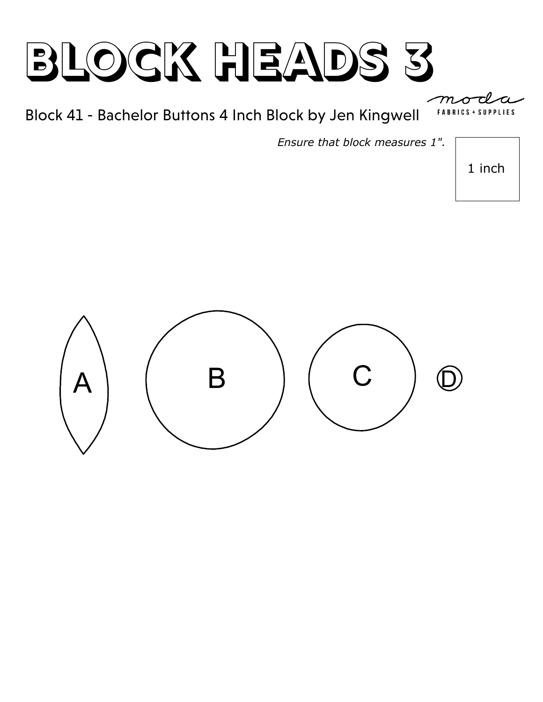

Block 41 - Bachelor Buttons 4 Inch Block by Jen Kingwell

*Ensure that block measures 1".*

1 inch

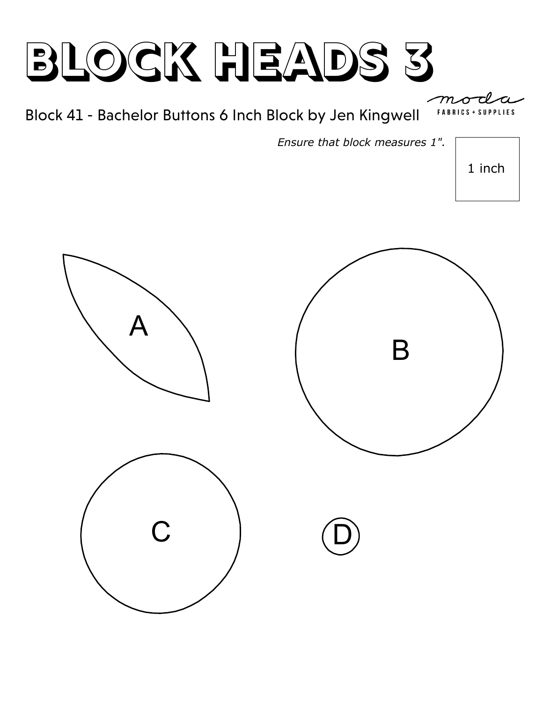

*Ensure that block measures 1".*

1 inch

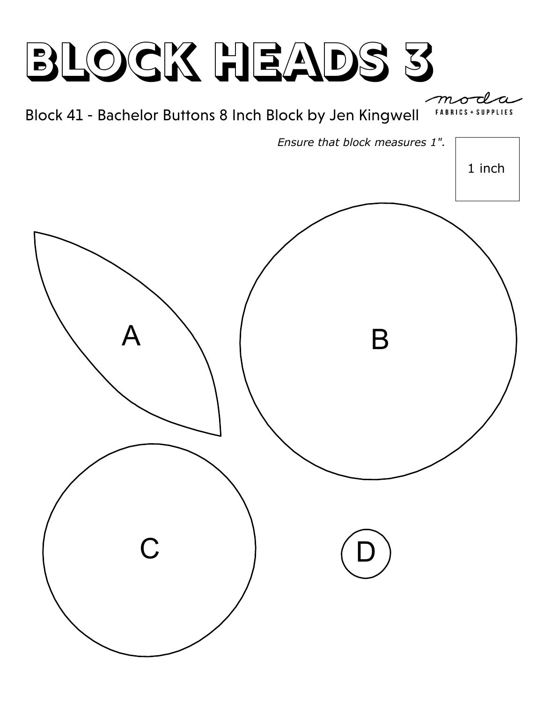

Block 41 - Bachelor Buttons 8 Inch Block by Jen Kingwell

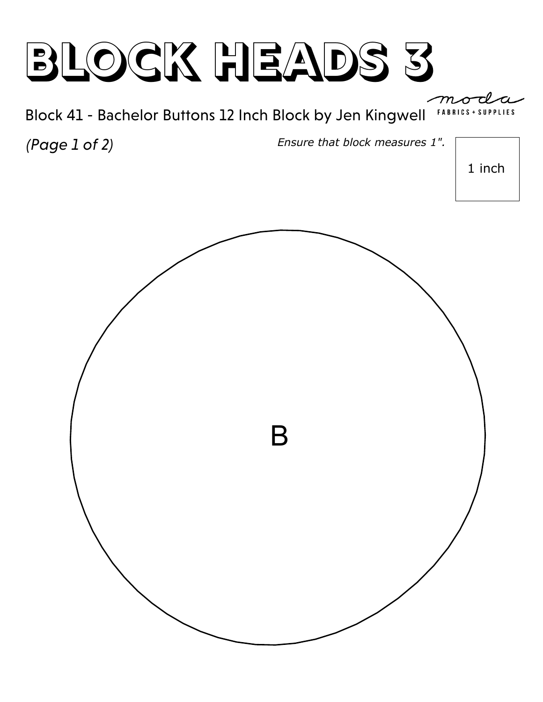Block 41 - Bachelor Buttons 12 Inch Block by Jen Kingwell FABRI